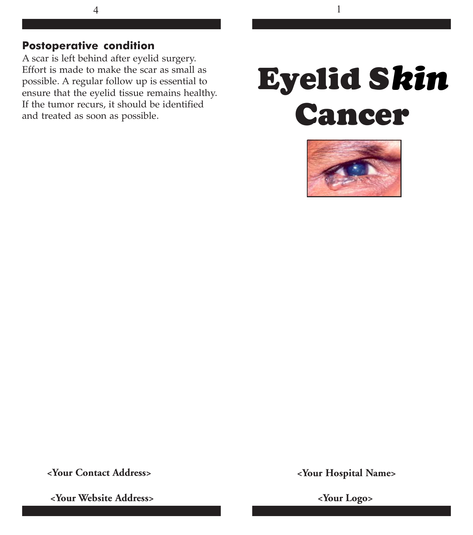# **Postoperative condition**

A scar is left behind after eyelid surgery. Effort is made to make the scar as small as possible. A regular follow up is essential to ensure that the eyelid tissue remains healthy. If the tumor recurs, it should be identified and treated as soon as possible.

# **Eyelid Skin** *kin***Cancer**



 **<Your Contact Address>**

**<Your Hospital Name>**

 **<Your Website Address>**

 **<Your Logo>**